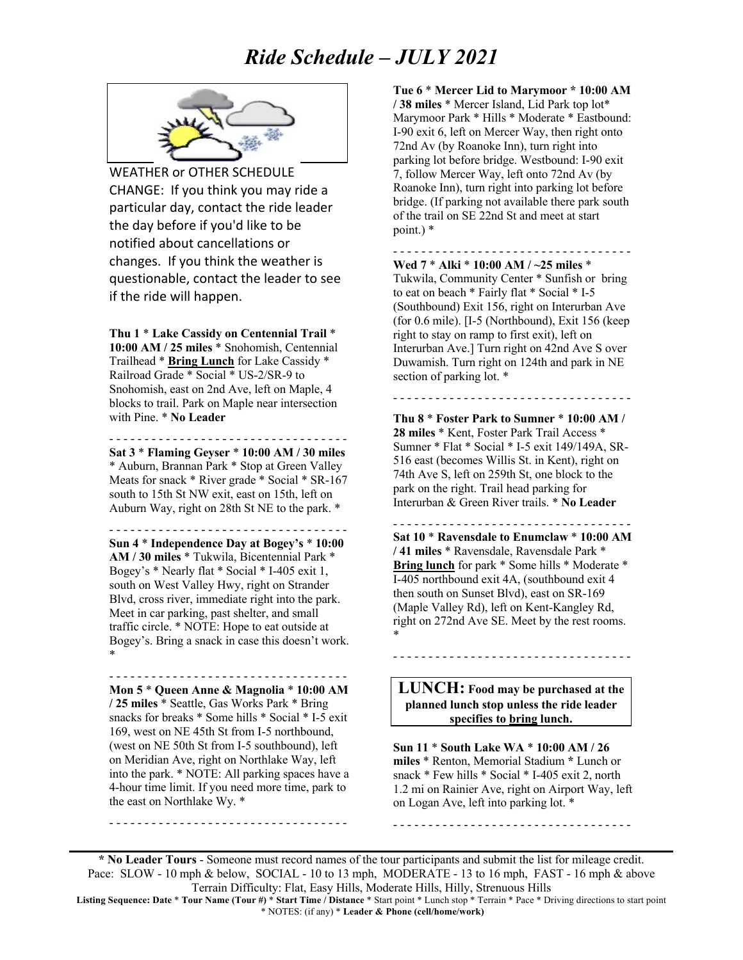## *Ride Schedule – JULY 2021*



WEATHER or OTHER SCHEDULE CHANGE: If you think you may ride a particular day, contact the ride leader the day before if you'd like to be notified about cancellations or changes. If you think the weather is questionable, contact the leader to see if the ride will happen.

**Thu 1** \* **Lake Cassidy on Centennial Trail** \* **10:00 AM / 25 miles** \* Snohomish, Centennial Trailhead \* **Bring Lunch** for Lake Cassidy \* Railroad Grade \* Social \* US-2/SR-9 to Snohomish, east on 2nd Ave, left on Maple, 4 blocks to trail. Park on Maple near intersection with Pine. \* **No Leader**

- - - - - - - - - - - - - - - - - - - - - - - - - - - - - - - - - - **Sat 3** \* **Flaming Geyser** \* **10:00 AM / 30 miles** \* Auburn, Brannan Park \* Stop at Green Valley Meats for snack \* River grade \* Social \* SR-167 south to 15th St NW exit, east on 15th, left on Auburn Way, right on 28th St NE to the park. \*

- - - - - - - - - - - - - - - - - - - - - - - - - - - - - - - - - - **Sun 4** \* **Independence Day at Bogey's** \* **10:00 AM / 30 miles** \* Tukwila, Bicentennial Park \* Bogey's \* Nearly flat \* Social \* I-405 exit 1, south on West Valley Hwy, right on Strander Blvd, cross river, immediate right into the park. Meet in car parking, past shelter, and small traffic circle. \* NOTE: Hope to eat outside at Bogey's. Bring a snack in case this doesn't work. \*

**Mon 5** \* **Queen Anne & Magnolia** \* **10:00 AM / 25 miles** \* Seattle, Gas Works Park \* Bring snacks for breaks \* Some hills \* Social \* I-5 exit 169, west on NE 45th St from I-5 northbound, (west on NE 50th St from I-5 southbound), left on Meridian Ave, right on Northlake Way, left into the park. \* NOTE: All parking spaces have a 4-hour time limit. If you need more time, park to the east on Northlake Wy. \*

- - - - - - - - - - - - - - - - - - - - - - - - - - - - - - - - - -

- - - - - - - - - - - - - - - - - - - - - - - - - - - - - - - - - -

**Tue 6** \* **Mercer Lid to Marymoor \* 10:00 AM / 38 miles** \* Mercer Island, Lid Park top lot\* Marymoor Park \* Hills \* Moderate \* Eastbound: I-90 exit 6, left on Mercer Way, then right onto 72nd Av (by Roanoke Inn), turn right into parking lot before bridge. Westbound: I-90 exit 7, follow Mercer Way, left onto 72nd Av (by Roanoke Inn), turn right into parking lot before bridge. (If parking not available there park south of the trail on SE 22nd St and meet at start point.) \*

- - - - - - - - - - - - - - - - - - - - - - - - - - - - - - - - - -

**Wed 7** \* **Alki** \* **10:00 AM / ~25 miles** \* Tukwila, Community Center \* Sunfish or bring to eat on beach \* Fairly flat \* Social \* I-5 (Southbound) Exit 156, right on Interurban Ave (for 0.6 mile). [I-5 (Northbound), Exit 156 (keep right to stay on ramp to first exit), left on Interurban Ave.] Turn right on 42nd Ave S over Duwamish. Turn right on 124th and park in NE section of parking lot. \*

**Thu 8** \* **Foster Park to Sumner** \* **10:00 AM / 28 miles** \* Kent, Foster Park Trail Access \* Sumner \* Flat \* Social \* I-5 exit 149/149A, SR-516 east (becomes Willis St. in Kent), right on 74th Ave S, left on 259th St, one block to the park on the right. Trail head parking for Interurban & Green River trails. \* **No Leader**

- - - - - - - - - - - - - - - - - - - - - - - - - - - - - - - - - -

- - - - - - - - - - - - - - - - - - - - - - - - - - - - - - - - - - **Sat 10** \* **Ravensdale to Enumclaw** \* **10:00 AM / 41 miles** \* Ravensdale, Ravensdale Park \* **Bring lunch** for park \* Some hills \* Moderate \* I-405 northbound exit 4A, (southbound exit 4 then south on Sunset Blvd), east on SR-169 (Maple Valley Rd), left on Kent-Kangley Rd, right on 272nd Ave SE. Meet by the rest rooms. \*

**LUNCH: Food may be purchased at the planned lunch stop unless the ride leader specifies to bring lunch.**

- - - - - - - - - - - - - - - - - - - - - - - - - - - - - - - - - -

**Sun 11** \* **South Lake WA** \* **10:00 AM / 26 miles** \* Renton, Memorial Stadium **\*** Lunch or snack \* Few hills \* Social \* I-405 exit 2, north 1.2 mi on Rainier Ave, right on Airport Way, left on Logan Ave, left into parking lot. \*

- - - - - - - - - - - - - - - - - - - - - - - - - - - - - - - - - -

**\* No Leader Tours** - Someone must record names of the tour participants and submit the list for mileage credit. Pace: SLOW - 10 mph & below, SOCIAL - 10 to 13 mph, MODERATE - 13 to 16 mph, FAST - 16 mph & above Terrain Difficulty: Flat, Easy Hills, Moderate Hills, Hilly, Strenuous Hills

**Listing Sequence: Date** \* **Tour Name (Tour #)** \* **Start Time / Distance** \* Start point \* Lunch stop \* Terrain \* Pace \* Driving directions to start point \* NOTES: (if any) \* **Leader & Phone (cell/home/work)**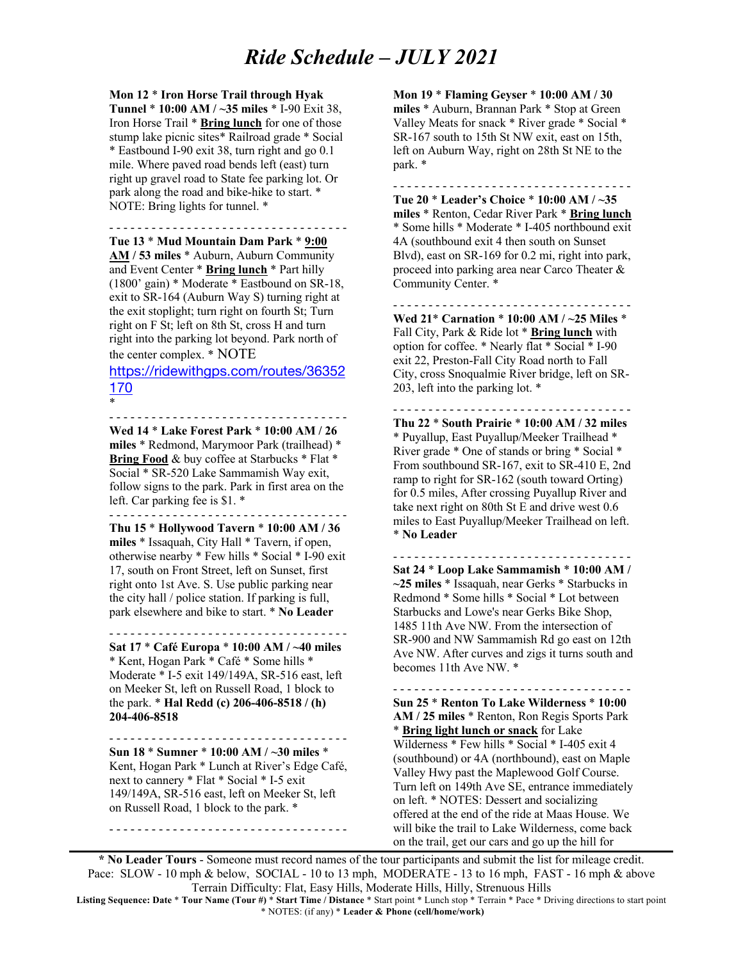## *Ride Schedule – JULY 2021*

**Mon 12** \* **Iron Horse Trail through Hyak Tunnel** \* **10:00 AM / ~35 miles** \* I-90 Exit 38, Iron Horse Trail \* **Bring lunch** for one of those stump lake picnic sites\* Railroad grade \* Social \* Eastbound I-90 exit 38, turn right and go 0.1 mile. Where paved road bends left (east) turn right up gravel road to State fee parking lot. Or park along the road and bike-hike to start. \* NOTE: Bring lights for tunnel. \*

- - - - - - - - - - - - - - - - - - - - - - - - - - - - - - - - - -

**Tue 13** \* **Mud Mountain Dam Park** \* **9:00 AM / 53 miles** \* Auburn, Auburn Community and Event Center \* **Bring lunch** \* Part hilly (1800' gain) \* Moderate \* Eastbound on SR-18, exit to SR-164 (Auburn Way S) turning right at the exit stoplight; turn right on fourth St; Turn right on F St; left on 8th St, cross H and turn right into the parking lot beyond. Park north of the center complex. \* NOTE

https://ridewithgps.com/routes/36352 170

- - - - - - - - - - - - - - - - - - - - - - - - - - - - - - - - - -

\*

**Wed 14** \* **Lake Forest Park** \* **10:00 AM / 26 miles** \* Redmond, Marymoor Park (trailhead) \* **Bring Food** & buy coffee at Starbucks \* Flat \* Social \* SR-520 Lake Sammamish Way exit, follow signs to the park. Park in first area on the left. Car parking fee is \$1. \* - - - - - - - - - - - - - - - - - - - - - - - - - - - - - - - - - -

**Thu 15** \* **Hollywood Tavern** \* **10:00 AM / 36 miles** \* Issaquah, City Hall \* Tavern, if open, otherwise nearby \* Few hills \* Social \* I-90 exit 17, south on Front Street, left on Sunset, first right onto 1st Ave. S. Use public parking near the city hall / police station. If parking is full, park elsewhere and bike to start. \* **No Leader**

- - - - - - - - - - - - - - - - - - - - - - - - - - - - - - - - - - **Sat 17** \* **Café Europa** \* **10:00 AM / ~40 miles** \* Kent, Hogan Park \* Café \* Some hills \* Moderate \* I-5 exit 149/149A, SR-516 east, left on Meeker St, left on Russell Road, 1 block to the park. \* **Hal Redd (c) 206-406-8518 / (h) 204-406-8518**

**Sun 18** \* **Sumner** \* **10:00 AM / ~30 miles** \* Kent, Hogan Park \* Lunch at River's Edge Café, next to cannery \* Flat \* Social \* I-5 exit 149/149A, SR-516 east, left on Meeker St, left on Russell Road, 1 block to the park. \*

- - - - - - - - - - - - - - - - - - - - - - - - - - - - - - - - - -

- - - - - - - - - - - - - - - - - - - - - - - - - - - - - - - - - -

**Mon 19** \* **Flaming Geyser** \* **10:00 AM / 30 miles** \* Auburn, Brannan Park \* Stop at Green Valley Meats for snack \* River grade \* Social \* SR-167 south to 15th St NW exit, east on 15th, left on Auburn Way, right on 28th St NE to the park. \*

- - - - - - - - - - - - - - - - - - - - - - - - - - - - - - - - - - **Tue 20** \* **Leader's Choice** \* **10:00 AM / ~35 miles** \* Renton, Cedar River Park \* **Bring lunch** \* Some hills \* Moderate \* I-405 northbound exit 4A (southbound exit 4 then south on Sunset Blvd), east on SR-169 for 0.2 mi, right into park, proceed into parking area near Carco Theater & Community Center. \*

- - - - - - - - - - - - - - - - - - - - - - - - - - - - - - - - - -

**Wed 21**\* **Carnation** \* **10:00 AM / ~25 Miles** \* Fall City, Park & Ride lot \* **Bring lunch** with option for coffee. \* Nearly flat \* Social \* I-90 exit 22, Preston-Fall City Road north to Fall City, cross Snoqualmie River bridge, left on SR-203, left into the parking lot. \*

- - - - - - - - - - - - - - - - - - - - - - - - - - - - - - - - - - **Thu 22** \* **South Prairie** \* **10:00 AM / 32 miles** \* Puyallup, East Puyallup/Meeker Trailhead \* River grade \* One of stands or bring \* Social \* From southbound SR-167, exit to SR-410 E, 2nd ramp to right for SR-162 (south toward Orting) for 0.5 miles, After crossing Puyallup River and take next right on 80th St E and drive west 0.6 miles to East Puyallup/Meeker Trailhead on left. \* **No Leader**

- - - - - - - - - - - - - - - - - - - - - - - - - - - - - - - - - - **Sat 24** \* **Loop Lake Sammamish** \* **10:00 AM / ~25 miles** \* Issaquah, near Gerks \* Starbucks in Redmond \* Some hills \* Social \* Lot between Starbucks and Lowe's near Gerks Bike Shop, 1485 11th Ave NW. From the intersection of SR-900 and NW Sammamish Rd go east on 12th Ave NW. After curves and zigs it turns south and becomes 11th Ave NW. \*

- - - - - - - - - - - - - - - - - - - - - - - - - - - - - - - - - - **Sun 25** \* **Renton To Lake Wilderness** \* **10:00 AM / 25 miles** \* Renton, Ron Regis Sports Park \* **Bring light lunch or snack** for Lake Wilderness \* Few hills \* Social \* I-405 exit 4 (southbound) or 4A (northbound), east on Maple Valley Hwy past the Maplewood Golf Course. Turn left on 149th Ave SE, entrance immediately on left. \* NOTES: Dessert and socializing offered at the end of the ride at Maas House. We will bike the trail to Lake Wilderness, come back on the trail, get our cars and go up the hill for

**\* No Leader Tours** - Someone must record names of the tour participants and submit the list for mileage credit. Pace: SLOW - 10 mph & below, SOCIAL - 10 to 13 mph, MODERATE - 13 to 16 mph, FAST - 16 mph & above Terrain Difficulty: Flat, Easy Hills, Moderate Hills, Hilly, Strenuous Hills

**Listing Sequence: Date** \* **Tour Name (Tour #)** \* **Start Time / Distance** \* Start point \* Lunch stop \* Terrain \* Pace \* Driving directions to start point \* NOTES: (if any) \* **Leader & Phone (cell/home/work)**